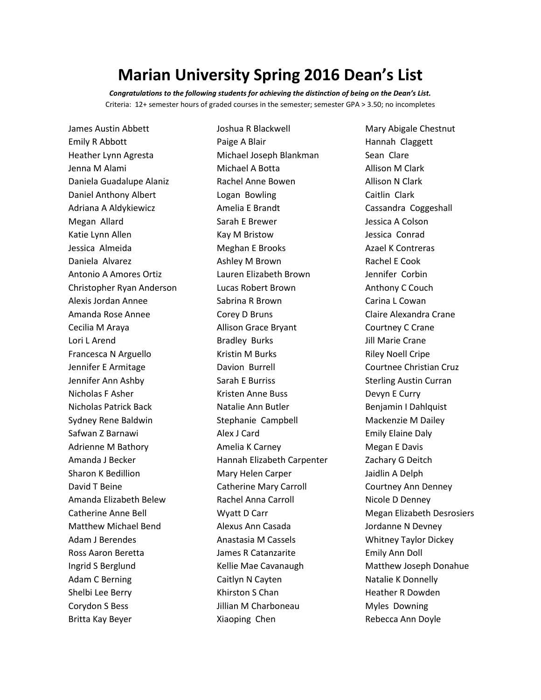## **Marian University Spring 2016 Dean's List**

*Congratulations to the following students for achieving the distinction of being on the Dean's List.* Criteria: 12+ semester hours of graded courses in the semester; semester GPA > 3.50; no incompletes

James Austin Abbett Emily R Abbott Heather Lynn Agresta Jenna M Alami Daniela Guadalupe Alaniz Daniel Anthony Albert Adriana A Aldykiewicz Megan Allard Katie Lynn Allen Jessica Almeida Daniela Alvarez Antonio A Amores Ortiz Christopher Ryan Anderson Alexis Jordan Annee Amanda Rose Annee Cecilia M Araya Lori L Arend Francesca N Arguello Jennifer E Armitage Jennifer Ann Ashby Nicholas F Asher Nicholas Patrick Back Sydney Rene Baldwin Safwan Z Barnawi Adrienne M Bathory Amanda J Becker Sharon K Bedillion David T Beine Amanda Elizabeth Belew Catherine Anne Bell Matthew Michael Bend Adam J Berendes Ross Aaron Beretta Ingrid S Berglund Adam C Berning Shelbi Lee Berry Corydon S Bess Britta Kay Beyer

Joshua R Blackwell Paige A Blair Michael Joseph Blankman Michael A Botta Rachel Anne Bowen Logan Bowling Amelia E Brandt Sarah E Brewer Kay M Bristow Meghan E Brooks Ashley M Brown Lauren Elizabeth Brown Lucas Robert Brown Sabrina R Brown Corey D Bruns Allison Grace Bryant Bradley Burks Kristin M Burks Davion Burrell Sarah E Burriss Kristen Anne Buss Natalie Ann Butler Stephanie Campbell Alex J Card Amelia K Carney Hannah Elizabeth Carpenter Mary Helen Carper Catherine Mary Carroll Rachel Anna Carroll Wyatt D Carr Alexus Ann Casada Anastasia M Cassels James R Catanzarite Kellie Mae Cavanaugh Caitlyn N Cayten Khirston S Chan Jillian M Charboneau Xiaoping Chen

Mary Abigale Chestnut Hannah Claggett Sean Clare Allison M Clark Allison N Clark Caitlin Clark Cassandra Coggeshall Jessica A Colson Jessica Conrad Azael K Contreras Rachel E Cook Jennifer Corbin Anthony C Couch Carina L Cowan Claire Alexandra Crane Courtney C Crane Jill Marie Crane Riley Noell Cripe Courtnee Christian Cruz Sterling Austin Curran Devyn E Curry Benjamin I Dahlquist Mackenzie M Dailey Emily Elaine Daly Megan E Davis Zachary G Deitch Jaidlin A Delph Courtney Ann Denney Nicole D Denney Megan Elizabeth Desrosiers Jordanne N Devney Whitney Taylor Dickey Emily Ann Doll Matthew Joseph Donahue Natalie K Donnelly Heather R Dowden Myles Downing Rebecca Ann Doyle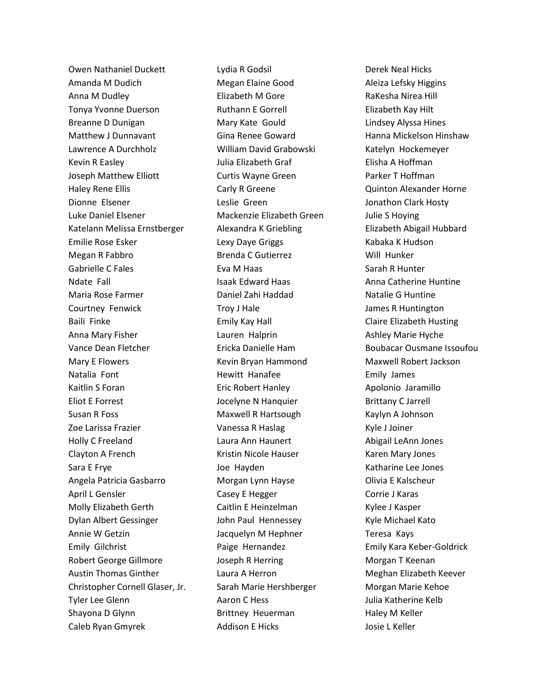Owen Nathaniel Duckett Amanda M Dudich Anna M Dudley Tonya Yvonne Duerson Breanne D Dunigan Matthew J Dunnavant Lawrence A Durchholz Kevin R Easley Joseph Matthew Elliott Haley Rene Ellis Dionne Elsener Luke Daniel Elsener Katelann Melissa Ernstberger Emilie Rose Esker Megan R Fabbro Gabrielle C Fales Ndate Fall Maria Rose Farmer Courtney Fenwick Baili Finke Anna Mary Fisher Vance Dean Fletcher Mary E Flowers Natalia Font Kaitlin S Foran Eliot E Forrest Susan R Foss Zoe Larissa Frazier Holly C Freeland Clayton A French Sara E Frye Angela Patricia Gasbarro April L Gensler Molly Elizabeth Gerth Dylan Albert Gessinger Annie W Getzin Emily Gilchrist Robert George Gillmore Austin Thomas Ginther Christopher Cornell Glaser, Jr. Tyler Lee Glenn Shayona D Glynn Caleb Ryan Gmyrek

Lydia R Godsil Megan Elaine Good Elizabeth M Gore Ruthann E Gorrell Mary Kate Gould Gina Renee Goward William David Grabowski Julia Elizabeth Graf Curtis Wayne Green Carly R Greene Leslie Green Mackenzie Elizabeth Green Alexandra K Griebling Lexy Daye Griggs Brenda C Gutierrez Eva M Haas Isaak Edward Haas Daniel Zahi Haddad Troy J Hale Emily Kay Hall Lauren Halprin Ericka Danielle Ham Kevin Bryan Hammond Hewitt Hanafee Eric Robert Hanley Jocelyne N Hanquier Maxwell R Hartsough Vanessa R Haslag Laura Ann Haunert Kristin Nicole Hauser Joe Hayden Morgan Lynn Hayse Casey E Hegger Caitlin E Heinzelman John Paul Hennessey Jacquelyn M Hephner Paige Hernandez Joseph R Herring Laura A Herron Sarah Marie Hershberger Aaron C Hess Brittney Heuerman Addison E Hicks

Derek Neal Hicks Aleiza Lefsky Higgins RaKesha Nirea Hill Elizabeth Kay Hilt Lindsey Alyssa Hines Hanna Mickelson Hinshaw Katelyn Hockemeyer Elisha A Hoffman Parker T Hoffman Quinton Alexander Horne Jonathon Clark Hosty Julie S Hoying Elizabeth Abigail Hubbard Kabaka K Hudson Will Hunker Sarah R Hunter Anna Catherine Huntine Natalie G Huntine James R Huntington Claire Elizabeth Husting Ashley Marie Hyche Boubacar Ousmane Issoufou Maxwell Robert Jackson Emily James Apolonio Jaramillo Brittany C Jarrell Kaylyn A Johnson Kyle J Joiner Abigail LeAnn Jones Karen Mary Jones Katharine Lee Jones Olivia E Kalscheur Corrie J Karas Kylee J Kasper Kyle Michael Kato Teresa Kays Emily Kara Keber-Goldrick Morgan T Keenan Meghan Elizabeth Keever Morgan Marie Kehoe Julia Katherine Kelb Haley M Keller Josie L Keller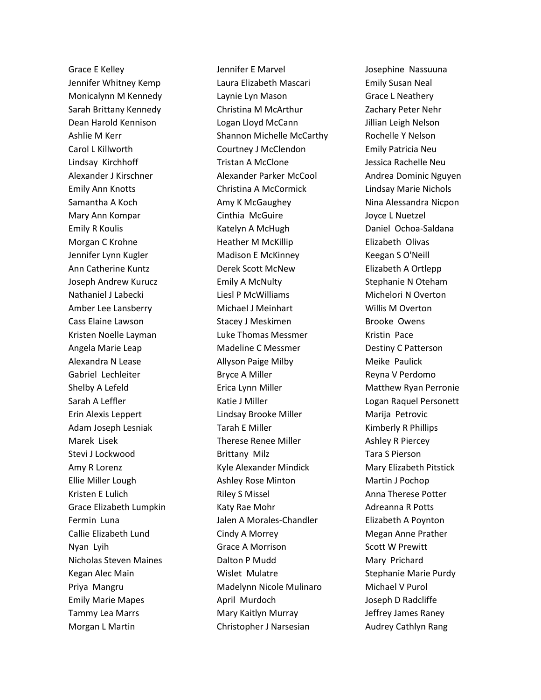Grace E Kelley Jennifer Whitney Kemp Monicalynn M Kennedy Sarah Brittany Kennedy Dean Harold Kennison Ashlie M Kerr Carol L Killworth Lindsay Kirchhoff Alexander J Kirschner Emily Ann Knotts Samantha A Koch Mary Ann Kompar Emily R Koulis Morgan C Krohne Jennifer Lynn Kugler Ann Catherine Kuntz Joseph Andrew Kurucz Nathaniel J Labecki Amber Lee Lansberry Cass Elaine Lawson Kristen Noelle Layman Angela Marie Leap Alexandra N Lease Gabriel Lechleiter Shelby A Lefeld Sarah A Leffler Erin Alexis Leppert Adam Joseph Lesniak Marek Lisek Stevi J Lockwood Amy R Lorenz Ellie Miller Lough Kristen E Lulich Grace Elizabeth Lumpkin Fermin Luna Callie Elizabeth Lund Nyan Lyih Nicholas Steven Maines Kegan Alec Main Priya Mangru Emily Marie Mapes Tammy Lea Marrs Morgan L Martin

Jennifer E Marvel Laura Elizabeth Mascari Laynie Lyn Mason Christina M McArthur Logan Lloyd McCann Shannon Michelle McCarthy Courtney J McClendon Tristan A McClone Alexander Parker McCool Christina A McCormick Amy K McGaughey Cinthia McGuire Katelyn A McHugh Heather M McKillip Madison E McKinney Derek Scott McNew Emily A McNulty Liesl P McWilliams Michael J Meinhart Stacey J Meskimen Luke Thomas Messmer Madeline C Messmer Allyson Paige Milby Bryce A Miller Erica Lynn Miller Katie J Miller Lindsay Brooke Miller Tarah E Miller Therese Renee Miller Brittany Milz Kyle Alexander Mindick Ashley Rose Minton Riley S Missel Katy Rae Mohr Jalen A Morales-Chandler Cindy A Morrey Grace A Morrison Dalton P Mudd Wislet Mulatre Madelynn Nicole Mulinaro April Murdoch Mary Kaitlyn Murray Christopher J Narsesian

Josephine Nassuuna Emily Susan Neal Grace L Neathery Zachary Peter Nehr Jillian Leigh Nelson Rochelle Y Nelson Emily Patricia Neu Jessica Rachelle Neu Andrea Dominic Nguyen Lindsay Marie Nichols Nina Alessandra Nicpon Joyce L Nuetzel Daniel Ochoa-Saldana Elizabeth Olivas Keegan S O'Neill Elizabeth A Ortlepp Stephanie N Oteham Michelori N Overton Willis M Overton Brooke Owens Kristin Pace Destiny C Patterson Meike Paulick Reyna V Perdomo Matthew Ryan Perronie Logan Raquel Personett Marija Petrovic Kimberly R Phillips Ashley R Piercey Tara S Pierson Mary Elizabeth Pitstick Martin J Pochop Anna Therese Potter Adreanna R Potts Elizabeth A Poynton Megan Anne Prather Scott W Prewitt Mary Prichard Stephanie Marie Purdy Michael V Purol Joseph D Radcliffe Jeffrey James Raney Audrey Cathlyn Rang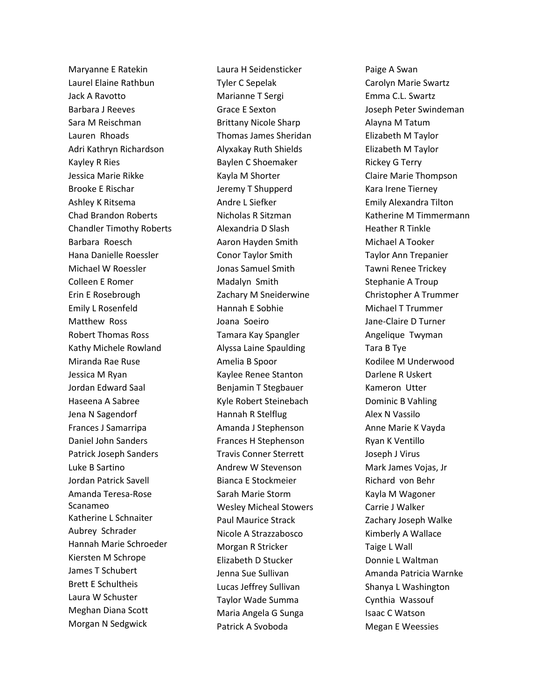Maryanne E Ratekin Laurel Elaine Rathbun Jack A Ravotto Barbara J Reeves Sara M Reischman Lauren Rhoads Adri Kathryn Richardson Kayley R Ries Jessica Marie Rikke Brooke E Rischar Ashley K Ritsema Chad Brandon Roberts Chandler Timothy Roberts Barbara Roesch Hana Danielle Roessler Michael W Roessler Colleen E Romer Erin E Rosebrough Emily L Rosenfeld Matthew Ross Robert Thomas Ross Kathy Michele Rowland Miranda Rae Ruse Jessica M Ryan Jordan Edward Saal Haseena A Sabree Jena N Sagendorf Frances J Samarripa Daniel John Sanders Patrick Joseph Sanders Luke B Sartino Jordan Patrick Savell Amanda Teresa-Rose Scanameo Katherine L Schnaiter Aubrey Schrader Hannah Marie Schroeder Kiersten M Schrope James T Schubert Brett E Schultheis Laura W Schuster Meghan Diana Scott Morgan N Sedgwick

Laura H Seidensticker Tyler C Sepelak Marianne T Sergi Grace E Sexton Brittany Nicole Sharp Thomas James Sheridan Alyxakay Ruth Shields Baylen C Shoemaker Kayla M Shorter Jeremy T Shupperd Andre L Siefker Nicholas R Sitzman Alexandria D Slash Aaron Hayden Smith Conor Taylor Smith Jonas Samuel Smith Madalyn Smith Zachary M Sneiderwine Hannah E Sobhie Joana Soeiro Tamara Kay Spangler Alyssa Laine Spaulding Amelia B Spoor Kaylee Renee Stanton Benjamin T Stegbauer Kyle Robert Steinebach Hannah R Stelflug Amanda J Stephenson Frances H Stephenson Travis Conner Sterrett Andrew W Stevenson Bianca E Stockmeier Sarah Marie Storm Wesley Micheal Stowers Paul Maurice Strack Nicole A Strazzabosco Morgan R Stricker Elizabeth D Stucker Jenna Sue Sullivan Lucas Jeffrey Sullivan Taylor Wade Summa Maria Angela G Sunga Patrick A Svoboda

Paige A Swan Carolyn Marie Swartz Emma C.L. Swartz Joseph Peter Swindeman Alayna M Tatum Elizabeth M Taylor Elizabeth M Taylor Rickey G Terry Claire Marie Thompson Kara Irene Tierney Emily Alexandra Tilton Katherine M Timmermann Heather R Tinkle Michael A Tooker Taylor Ann Trepanier Tawni Renee Trickey Stephanie A Troup Christopher A Trummer Michael T Trummer Jane-Claire D Turner Angelique Twyman Tara B Tye Kodilee M Underwood Darlene R Uskert Kameron Utter Dominic B Vahling Alex N Vassilo Anne Marie K Vayda Ryan K Ventillo Joseph J Virus Mark James Vojas, Jr Richard von Behr Kayla M Wagoner Carrie J Walker Zachary Joseph Walke Kimberly A Wallace Taige L Wall Donnie L Waltman Amanda Patricia Warnke Shanya L Washington Cynthia Wassouf Isaac C Watson Megan E Weessies